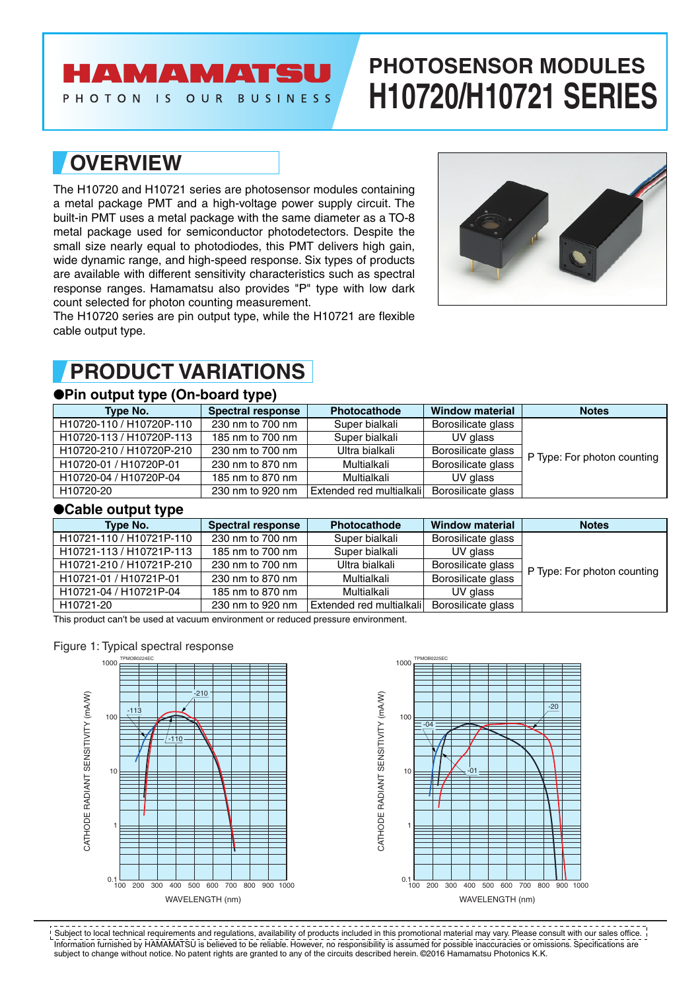# **AMAMATS**

PHOTON IS OUR BUSINESS

# **PHOTOSENSOR MODULES H10720/H10721 SERIES**

### **OVERVIEW**

The H10720 and H10721 series are photosensor modules containing a metal package PMT and a high-voltage power supply circuit. The built-in PMT uses a metal package with the same diameter as a TO-8 metal package used for semiconductor photodetectors. Despite the small size nearly equal to photodiodes, this PMT delivers high gain, wide dynamic range, and high-speed response. Six types of products are available with different sensitivity characteristics such as spectral response ranges. Hamamatsu also provides "P" type with low dark count selected for photon counting measurement.

The H10720 series are pin output type, while the H10721 are flexible cable output type.



## **PRODUCT VARIATIONS**

### ●**Pin output type (On-board type)**

| Type No.                 | <b>Spectral response</b> | <b>Photocathode</b>      | <b>Window material</b> | <b>Notes</b>                |
|--------------------------|--------------------------|--------------------------|------------------------|-----------------------------|
| H10720-110 / H10720P-110 | 230 nm to 700 nm         | Super bialkali           | Borosilicate glass     |                             |
| H10720-113 / H10720P-113 | 185 nm to 700 nm         | Super bialkali           | UV glass               |                             |
| H10720-210 / H10720P-210 | 230 nm to 700 nm         | Ultra bialkali           | Borosilicate glass     | P Type: For photon counting |
| H10720-01 / H10720P-01   | 230 nm to 870 nm         | Multialkali              | Borosilicate glass     |                             |
| H10720-04 / H10720P-04   | 185 nm to 870 nm         | Multialkali              | UV glass               |                             |
| H10720-20                | 230 nm to 920 nm         | Extended red multialkali | Borosilicate glass     |                             |

### ●**Cable output type**

| <b>Spectral response</b><br>Type No. |                  | <b>Photocathode</b>      | <b>Window material</b> | <b>Notes</b>                |
|--------------------------------------|------------------|--------------------------|------------------------|-----------------------------|
| H10721-110 / H10721P-110             | 230 nm to 700 nm | Super bialkali           | Borosilicate glass     |                             |
| H10721-113 / H10721P-113             | 185 nm to 700 nm | Super bialkali           | UV glass               |                             |
| H10721-210 / H10721P-210             | 230 nm to 700 nm | Ultra bialkali           | Borosilicate glass     | P Type: For photon counting |
| H10721-01 / H10721P-01               | 230 nm to 870 nm | Multialkali              | Borosilicate glass     |                             |
| H10721-04 / H10721P-04               | 185 nm to 870 nm | Multialkali              | UV glass               |                             |
| H10721-20                            | 230 nm to 920 nm | Extended red multialkali | Borosilicate glass     |                             |

This product can't be used at vacuum environment or reduced pressure environment.

### Figure 1: Typical spectral response





Information furnished by HAMAMATSU is believed to be reliable. However, no responsibility is assumed for possible inaccuracies or omissions. Specifications are subject to change without notice. No patent rights are granted to any of the circuits described herein. ©2016 Hamamatsu Photonics K.K. Subject to local technical requirements and regulations, availability of products included in this promotional material may vary. Please consult with our sales office.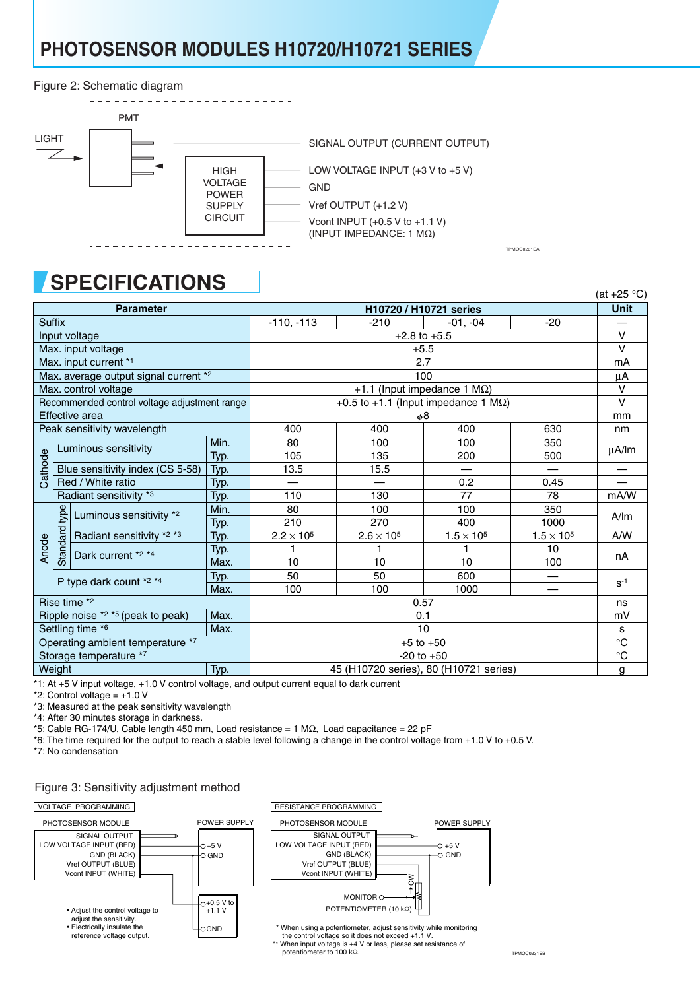# **PHOTOSENSOR MODULES H10720/H10721 SERIES**

#### Figure 2: Schematic diagram



TPMOC0261EA

# **SPECIFICATIONS**

|                                              |          | U. EVII<br>17/11/7117                        |        |                                        |                   |                                             |                     | (at $+25$ °C) |
|----------------------------------------------|----------|----------------------------------------------|--------|----------------------------------------|-------------------|---------------------------------------------|---------------------|---------------|
|                                              |          | <b>Parameter</b>                             |        |                                        |                   | H10720 / H10721 series                      |                     | <b>Unit</b>   |
| <b>Suffix</b>                                |          | $-110, -113$                                 | $-210$ | $-01, -04$                             | $-20$             |                                             |                     |               |
|                                              |          | Input voltage                                |        | $+2.8$ to $+5.5$                       |                   |                                             |                     |               |
|                                              |          | Max. input voltage                           |        | $+5.5$                                 |                   |                                             |                     |               |
| Max. input current *1                        |          |                                              | 2.7    |                                        |                   |                                             |                     |               |
|                                              |          | Max. average output signal current *2        |        | 100                                    |                   |                                             |                     |               |
| Max. control voltage                         |          | +1.1 (Input impedance 1 MΩ)                  |        |                                        |                   |                                             |                     |               |
|                                              |          | Recommended control voltage adjustment range |        |                                        |                   | +0.5 to +1.1 (Input impedance 1 $M\Omega$ ) |                     | $\vee$        |
|                                              |          | Effective area                               |        |                                        |                   | φ8                                          |                     | mm            |
|                                              |          | Peak sensitivity wavelength                  |        | 400                                    | 400               | 400                                         | 630                 | nm            |
|                                              |          | Luminous sensitivity                         | Min.   | 80                                     | 100               | 100                                         | 350                 | μA/lm         |
| Cathode                                      |          |                                              | Typ.   | 105                                    | 135               | 200                                         | 500                 |               |
|                                              |          | Blue sensitivity index (CS 5-58)             | Typ.   | 13.5                                   | 15.5              |                                             |                     |               |
|                                              |          | Red / White ratio                            | Typ.   |                                        |                   | 0.2                                         | 0.45                |               |
|                                              |          | Radiant sensitivity *3                       | Typ.   | 110                                    | 130               | 77                                          | 78                  | mA/W          |
|                                              | type     |                                              | Min.   | 80                                     | 100               | 100                                         | 350                 | A/m           |
|                                              |          | Luminous sensitivity *2                      | Typ.   | 210                                    | 270               | 400                                         | 1000                |               |
|                                              | Standard | Radiant sensitivity *2 *3                    | Typ.   | $2.2 \times 10^5$                      | $2.6 \times 10^5$ | $1.5 \times 10^5$                           | $1.5 \times 10^{5}$ | A/W           |
| Anode                                        |          | Dark current *2 *4                           | Typ.   |                                        |                   | 1                                           | 10                  | nA            |
|                                              |          |                                              | Max.   | 10                                     | 10                | 10                                          | 100                 |               |
|                                              |          | P type dark count *2 *4                      | Typ.   | 50                                     | 50                | 600                                         |                     | $S^{-1}$      |
|                                              |          |                                              | Max.   | 100                                    | 100               | 1000                                        |                     |               |
| Rise time *2                                 |          | 0.57                                         |        |                                        |                   |                                             |                     |               |
| Ripple noise $*2 **5$ (peak to peak)<br>Max. |          | 0.1                                          |        |                                        |                   |                                             |                     |               |
| Settling time *6<br>Max.                     |          | 10                                           |        |                                        |                   |                                             |                     |               |
| Operating ambient temperature *7             |          | $+5$ to $+50$                                |        |                                        |                   | $\overline{\text{c}}$                       |                     |               |
| Storage temperature *7                       |          | $-20$ to $+50$                               |        |                                        |                   | $\rm ^{\circ}C$                             |                     |               |
| Weight                                       |          |                                              | Typ.   | 45 (H10720 series), 80 (H10721 series) |                   |                                             |                     | g             |

\*1: At +5 V input voltage, +1.0 V control voltage, and output current equal to dark current

 $*2$ : Control voltage =  $+1.0$  V

\*3: Measured at the peak sensitivity wavelength

\*4: After 30 minutes storage in darkness.

\*5: Cable RG-174/U, Cable length 450 mm, Load resistance = 1 MΩ, Load capacitance = 22 pF

\*6: The time required for the output to reach a stable level following a change in the control voltage from +1.0 V to +0.5 V.

\*7: No condensation

### Figure 3: Sensitivity adjustment method

#### $\boxed{\text{VOLTAGE PROGRAMMING}}$



the control voltage so it does not exceed +1.1 V. \*\* When input voltage is +4 V or less, please set resistance of potentiometer to 100 kΩ.

TPMOC0231EB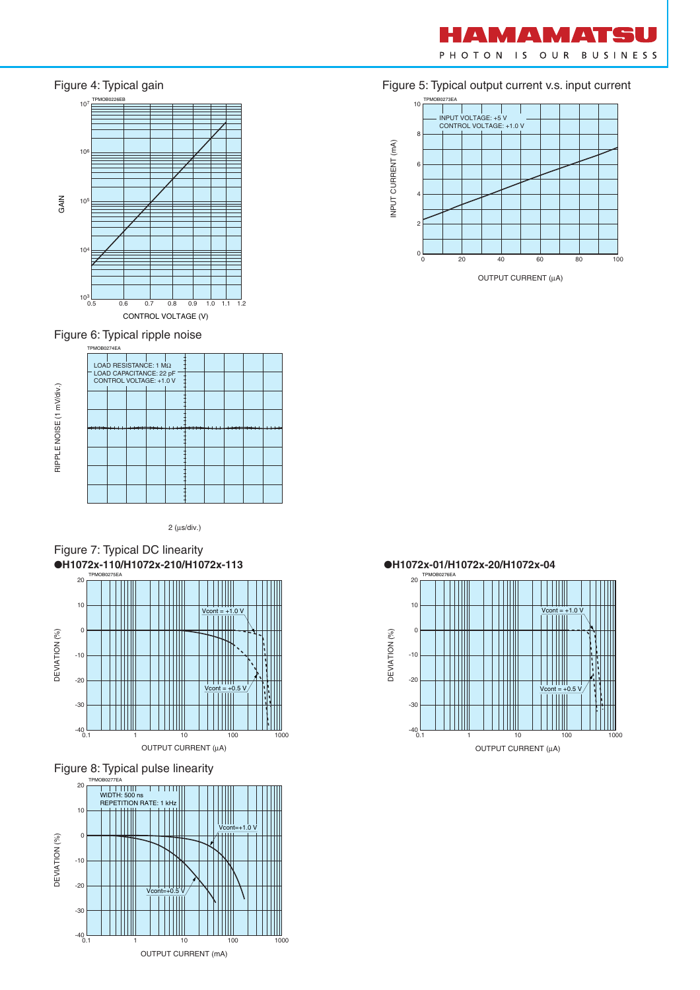



Figure 6: Typical ripple noise



2 (µs/div.)









Figure 5: Typical output current v.s. input current



OUTPUT CURRENT (µA)

20 10  $V\text{cont} = +1.0 V$ WW  $\mathbf{0}$ DEVIATION (%) DEVIATION (%) -10



OUTPUT CURRENT (µA)